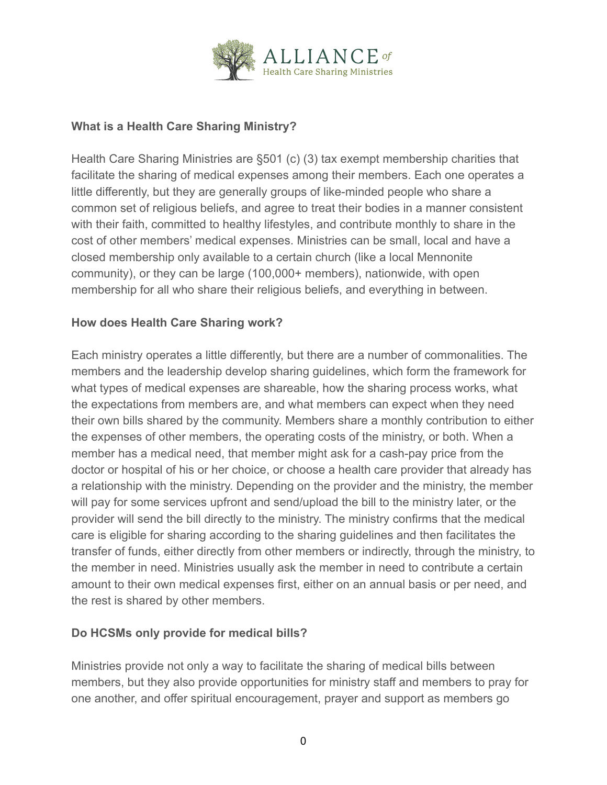

#### **What is a Health Care Sharing Ministry?**

Health Care Sharing Ministries are §501 (c) (3) tax exempt membership charities that facilitate the sharing of medical expenses among their members. Each one operates a little differently, but they are generally groups of like-minded people who share a common set of religious beliefs, and agree to treat their bodies in a manner consistent with their faith, committed to healthy lifestyles, and contribute monthly to share in the cost of other members' medical expenses. Ministries can be small, local and have a closed membership only available to a certain church (like a local Mennonite community), or they can be large (100,000+ members), nationwide, with open membership for all who share their religious beliefs, and everything in between.

## **How does Health Care Sharing work?**

Each ministry operates a little differently, but there are a number of commonalities. The members and the leadership develop sharing guidelines, which form the framework for what types of medical expenses are shareable, how the sharing process works, what the expectations from members are, and what members can expect when they need their own bills shared by the community. Members share a monthly contribution to either the expenses of other members, the operating costs of the ministry, or both. When a member has a medical need, that member might ask for a cash-pay price from the doctor or hospital of his or her choice, or choose a health care provider that already has a relationship with the ministry. Depending on the provider and the ministry, the member will pay for some services upfront and send/upload the bill to the ministry later, or the provider will send the bill directly to the ministry. The ministry confirms that the medical care is eligible for sharing according to the sharing guidelines and then facilitates the transfer of funds, either directly from other members or indirectly, through the ministry, to the member in need. Ministries usually ask the member in need to contribute a certain amount to their own medical expenses first, either on an annual basis or per need, and the rest is shared by other members.

#### **Do HCSMs only provide for medical bills?**

Ministries provide not only a way to facilitate the sharing of medical bills between members, but they also provide opportunities for ministry staff and members to pray for one another, and offer spiritual encouragement, prayer and support as members go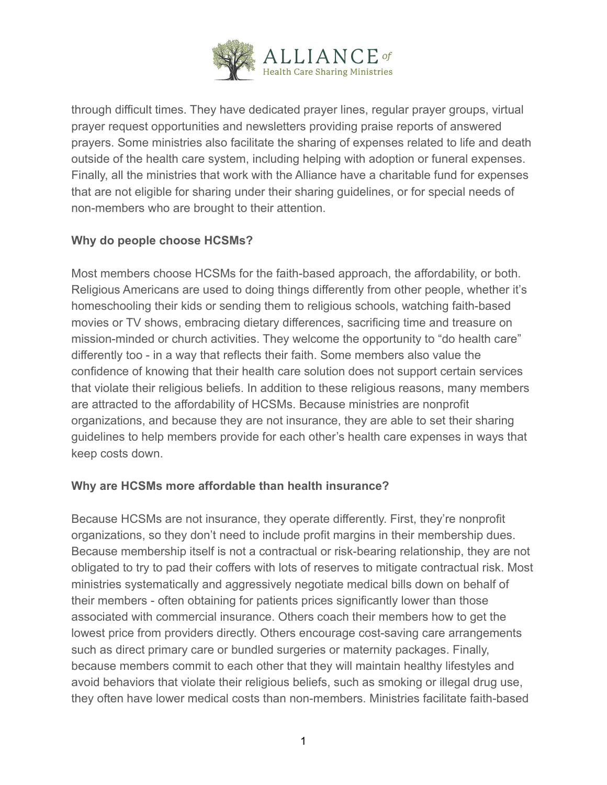

through difficult times. They have dedicated prayer lines, regular prayer groups, virtual prayer request opportunities and newsletters providing praise reports of answered prayers. Some ministries also facilitate the sharing of expenses related to life and death outside of the health care system, including helping with adoption or funeral expenses. Finally, all the ministries that work with the Alliance have a charitable fund for expenses that are not eligible for sharing under their sharing guidelines, or for special needs of non-members who are brought to their attention.

## **Why do people choose HCSMs?**

Most members choose HCSMs for the faith-based approach, the affordability, or both. Religious Americans are used to doing things differently from other people, whether it's homeschooling their kids or sending them to religious schools, watching faith-based movies or TV shows, embracing dietary differences, sacrificing time and treasure on mission-minded or church activities. They welcome the opportunity to "do health care" differently too - in a way that reflects their faith. Some members also value the confidence of knowing that their health care solution does not support certain services that violate their religious beliefs. In addition to these religious reasons, many members are attracted to the affordability of HCSMs. Because ministries are nonprofit organizations, and because they are not insurance, they are able to set their sharing guidelines to help members provide for each other's health care expenses in ways that keep costs down.

#### **Why are HCSMs more affordable than health insurance?**

Because HCSMs are not insurance, they operate differently. First, they're nonprofit organizations, so they don't need to include profit margins in their membership dues. Because membership itself is not a contractual or risk-bearing relationship, they are not obligated to try to pad their coffers with lots of reserves to mitigate contractual risk. Most ministries systematically and aggressively negotiate medical bills down on behalf of their members - often obtaining for patients prices significantly lower than those associated with commercial insurance. Others coach their members how to get the lowest price from providers directly. Others encourage cost-saving care arrangements such as direct primary care or bundled surgeries or maternity packages. Finally, because members commit to each other that they will maintain healthy lifestyles and avoid behaviors that violate their religious beliefs, such as smoking or illegal drug use, they often have lower medical costs than non-members. Ministries facilitate faith-based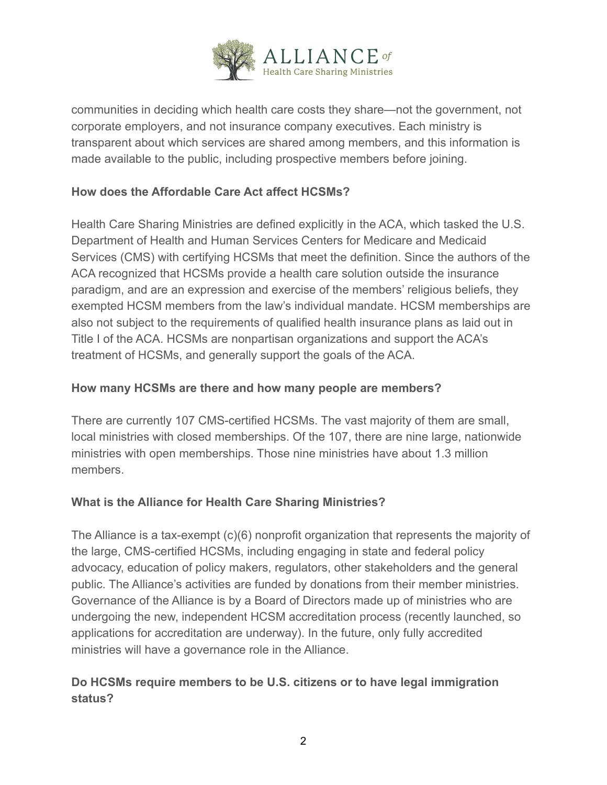

communities in deciding which health care costs they share—not the government, not corporate employers, and not insurance company executives. Each ministry is transparent about which services are shared among members, and this information is made available to the public, including prospective members before joining.

## **How does the Affordable Care Act affect HCSMs?**

Health Care Sharing Ministries are defined explicitly in the ACA, which tasked the U.S. Department of Health and Human Services Centers for Medicare and Medicaid Services (CMS) with certifying HCSMs that meet the definition. Since the authors of the ACA recognized that HCSMs provide a health care solution outside the insurance paradigm, and are an expression and exercise of the members' religious beliefs, they exempted HCSM members from the law's individual mandate. HCSM memberships are also not subject to the requirements of qualified health insurance plans as laid out in Title I of the ACA. HCSMs are nonpartisan organizations and support the ACA's treatment of HCSMs, and generally support the goals of the ACA.

#### **How many HCSMs are there and how many people are members?**

There are currently 107 CMS-certified HCSMs. The vast majority of them are small, local ministries with closed memberships. Of the 107, there are nine large, nationwide ministries with open memberships. Those nine ministries have about 1.3 million members.

#### **What is the Alliance for Health Care Sharing Ministries?**

The Alliance is a tax-exempt (c)(6) nonprofit organization that represents the majority of the large, CMS-certified HCSMs, including engaging in state and federal policy advocacy, education of policy makers, regulators, other stakeholders and the general public. The Alliance's activities are funded by donations from their member ministries. Governance of the Alliance is by a Board of Directors made up of ministries who are undergoing the new, independent HCSM accreditation process (recently launched, so applications for accreditation are underway). In the future, only fully accredited ministries will have a governance role in the Alliance.

## **Do HCSMs require members to be U.S. citizens or to have legal immigration status?**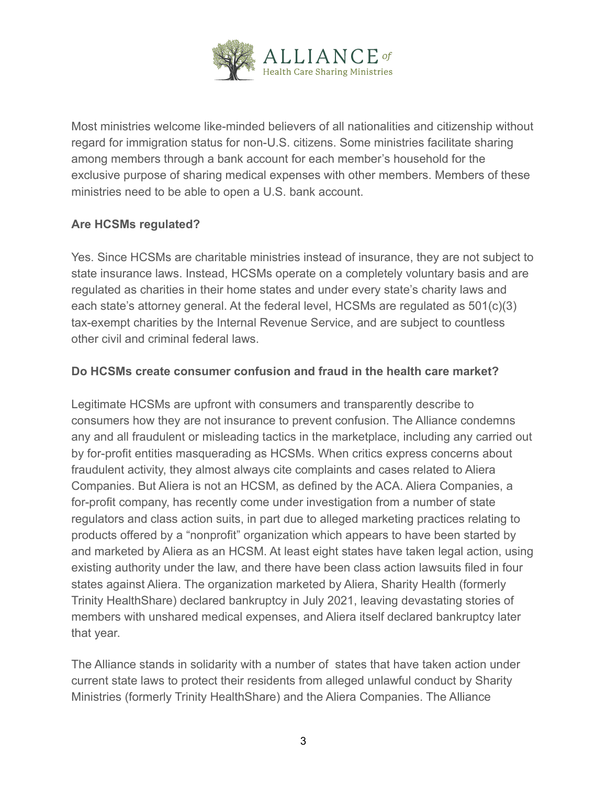

Most ministries welcome like-minded believers of all nationalities and citizenship without regard for immigration status for non-U.S. citizens. Some ministries facilitate sharing among members through a bank account for each member's household for the exclusive purpose of sharing medical expenses with other members. Members of these ministries need to be able to open a U.S. bank account.

## **Are HCSMs regulated?**

Yes. Since HCSMs are charitable ministries instead of insurance, they are not subject to state insurance laws. Instead, HCSMs operate on a completely voluntary basis and are regulated as charities in their home states and under every state's charity laws and each state's attorney general. At the federal level, HCSMs are regulated as 501(c)(3) tax-exempt charities by the Internal Revenue Service, and are subject to countless other civil and criminal federal laws.

## **Do HCSMs create consumer confusion and fraud in the health care market?**

Legitimate HCSMs are upfront with consumers and transparently describe to consumers how they are not insurance to prevent confusion. The Alliance condemns any and all fraudulent or misleading tactics in the marketplace, including any carried out by for-profit entities masquerading as HCSMs. When critics express concerns about fraudulent activity, they almost always cite complaints and cases related to Aliera Companies. But Aliera is not an HCSM, as defined by the ACA. Aliera Companies, a for-profit company, has recently come under investigation from a number of state regulators and class action suits, in part due to alleged marketing practices relating to products offered by a "nonprofit" organization which appears to have been started by and marketed by Aliera as an HCSM. At least eight states have taken legal action, using existing authority under the law, and there have been class action lawsuits filed in four states against Aliera. The organization marketed by Aliera, Sharity Health (formerly Trinity HealthShare) declared bankruptcy in July 2021, leaving devastating stories of members with unshared medical expenses, and Aliera itself declared bankruptcy later that year.

The Alliance stands in solidarity with a number of states that have taken action under current state laws to protect their residents from alleged unlawful conduct by Sharity Ministries (formerly Trinity HealthShare) and the Aliera Companies. The Alliance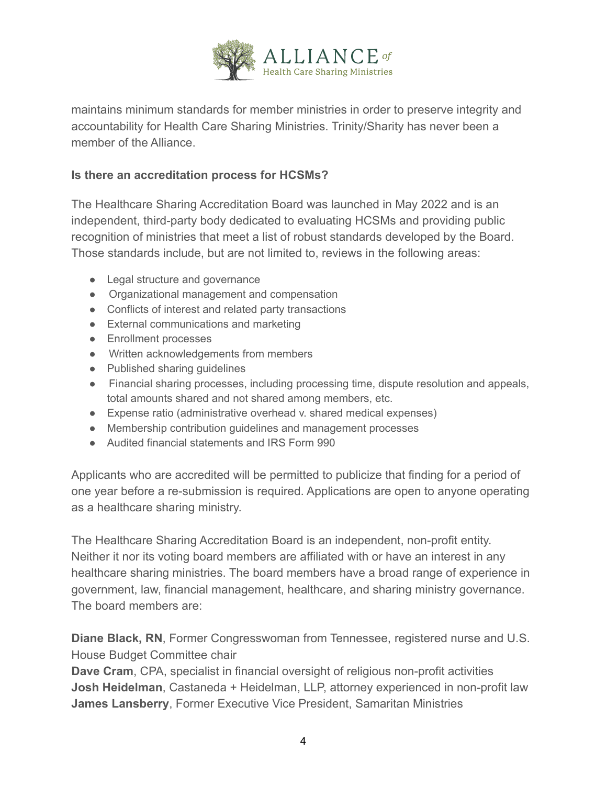

maintains minimum standards for member ministries in order to preserve integrity and accountability for Health Care Sharing Ministries. Trinity/Sharity has never been a member of the Alliance.

#### **Is there an accreditation process for HCSMs?**

The Healthcare Sharing Accreditation Board was launched in May 2022 and is an independent, third-party body dedicated to evaluating HCSMs and providing public recognition of ministries that meet a list of robust standards developed by the Board. Those standards include, but are not limited to, reviews in the following areas:

- Legal structure and governance
- Organizational management and compensation
- Conflicts of interest and related party transactions
- External communications and marketing
- Enrollment processes
- Written acknowledgements from members
- Published sharing guidelines
- Financial sharing processes, including processing time, dispute resolution and appeals, total amounts shared and not shared among members, etc.
- Expense ratio (administrative overhead v. shared medical expenses)
- Membership contribution guidelines and management processes
- Audited financial statements and IRS Form 990

Applicants who are accredited will be permitted to publicize that finding for a period of one year before a re-submission is required. Applications are open to anyone operating as a healthcare sharing ministry.

The Healthcare Sharing Accreditation Board is an independent, non-profit entity. Neither it nor its voting board members are affiliated with or have an interest in any healthcare sharing ministries. The board members have a broad range of experience in government, law, financial management, healthcare, and sharing ministry governance. The board members are:

**Diane Black, RN**, Former Congresswoman from Tennessee, registered nurse and U.S. House Budget Committee chair

**Dave Cram**, CPA, specialist in financial oversight of religious non-profit activities **Josh Heidelman**, Castaneda + Heidelman, LLP, attorney experienced in non-profit law **James Lansberry**, Former Executive Vice President, Samaritan Ministries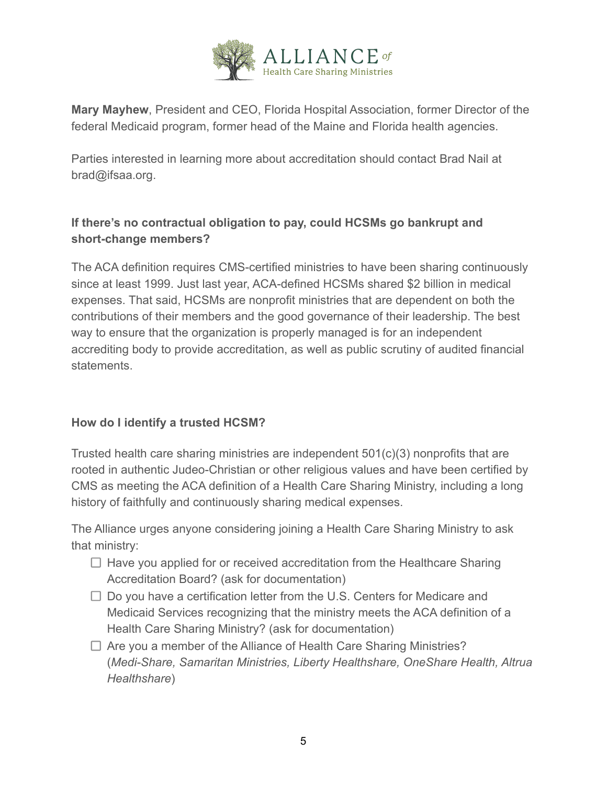

**Mary Mayhew**, President and CEO, Florida Hospital Association, former Director of the federal Medicaid program, former head of the Maine and Florida health agencies.

Parties interested in learning more about accreditation should contact Brad Nail at brad@ifsaa.org.

# **If there's no contractual obligation to pay, could HCSMs go bankrupt and short-change members?**

The ACA definition requires CMS-certified ministries to have been sharing continuously since at least 1999. Just last year, ACA-defined HCSMs shared \$2 billion in medical expenses. That said, HCSMs are nonprofit ministries that are dependent on both the contributions of their members and the good governance of their leadership. The best way to ensure that the organization is properly managed is for an independent accrediting body to provide accreditation, as well as public scrutiny of audited financial statements.

## **How do I identify a trusted HCSM?**

Trusted health care sharing ministries are independent 501(c)(3) nonprofits that are rooted in authentic Judeo-Christian or other religious values and have been certified by CMS as meeting the ACA definition of a Health Care Sharing Ministry, including a long history of faithfully and continuously sharing medical expenses.

The Alliance urges anyone considering joining a Health Care Sharing Ministry to ask that ministry:

- $\Box$  Have you applied for or received accreditation from the Healthcare Sharing Accreditation Board? (ask for documentation)
- $\Box$  Do you have a certification letter from the U.S. Centers for Medicare and Medicaid Services recognizing that the ministry meets the ACA definition of a Health Care Sharing Ministry? (ask for documentation)
- $\Box$  Are you a member of the Alliance of Health Care Sharing Ministries? (*Medi-Share, Samaritan Ministries, Liberty Healthshare, OneShare Health, Altrua Healthshare*)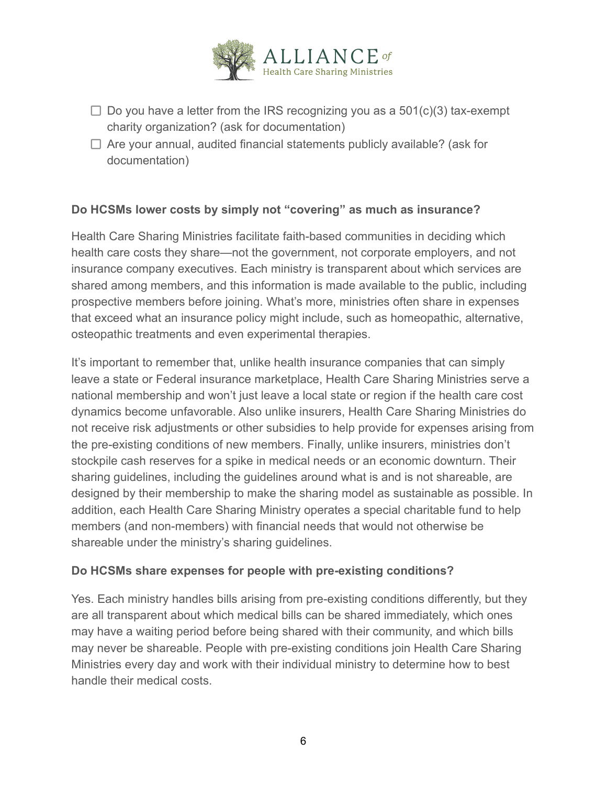

- $\Box$  Do you have a letter from the IRS recognizing you as a 501(c)(3) tax-exempt charity organization? (ask for documentation)
- $\Box$  Are your annual, audited financial statements publicly available? (ask for documentation)

## **Do HCSMs lower costs by simply not "covering" as much as insurance?**

Health Care Sharing Ministries facilitate faith-based communities in deciding which health care costs they share—not the government, not corporate employers, and not insurance company executives. Each ministry is transparent about which services are shared among members, and this information is made available to the public, including prospective members before joining. What's more, ministries often share in expenses that exceed what an insurance policy might include, such as homeopathic, alternative, osteopathic treatments and even experimental therapies.

It's important to remember that, unlike health insurance companies that can simply leave a state or Federal insurance marketplace, Health Care Sharing Ministries serve a national membership and won't just leave a local state or region if the health care cost dynamics become unfavorable. Also unlike insurers, Health Care Sharing Ministries do not receive risk adjustments or other subsidies to help provide for expenses arising from the pre-existing conditions of new members. Finally, unlike insurers, ministries don't stockpile cash reserves for a spike in medical needs or an economic downturn. Their sharing guidelines, including the guidelines around what is and is not shareable, are designed by their membership to make the sharing model as sustainable as possible. In addition, each Health Care Sharing Ministry operates a special charitable fund to help members (and non-members) with financial needs that would not otherwise be shareable under the ministry's sharing guidelines.

#### **Do HCSMs share expenses for people with pre-existing conditions?**

Yes. Each ministry handles bills arising from pre-existing conditions differently, but they are all transparent about which medical bills can be shared immediately, which ones may have a waiting period before being shared with their community, and which bills may never be shareable. People with pre-existing conditions join Health Care Sharing Ministries every day and work with their individual ministry to determine how to best handle their medical costs.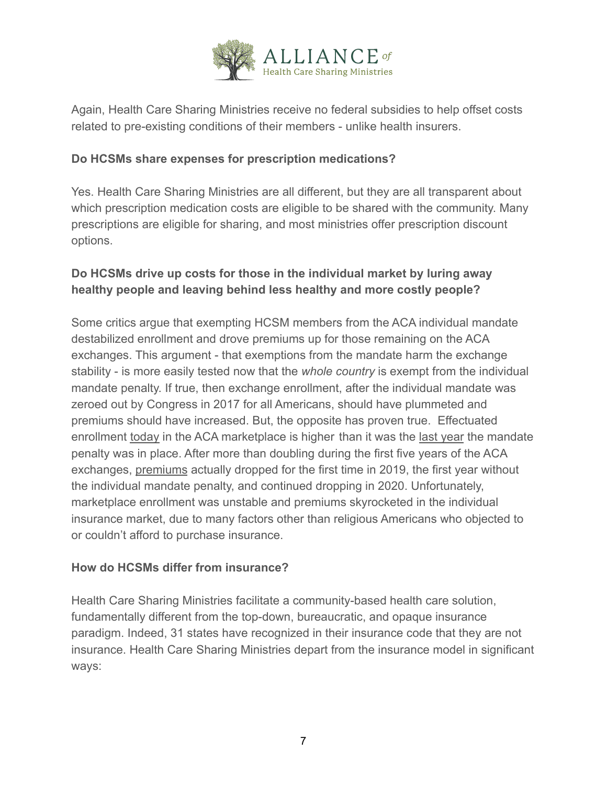

Again, Health Care Sharing Ministries receive no federal subsidies to help offset costs related to pre-existing conditions of their members - unlike health insurers.

## **Do HCSMs share expenses for prescription medications?**

Yes. Health Care Sharing Ministries are all different, but they are all transparent about which prescription medication costs are eligible to be shared with the community. Many prescriptions are eligible for sharing, and most ministries offer prescription discount options.

# **Do HCSMs drive up costs for those in the individual market by luring away healthy people and leaving behind less healthy and more costly people?**

Some critics argue that exempting HCSM members from the ACA individual mandate destabilized enrollment and drove premiums up for those remaining on the ACA exchanges. This argument - that exemptions from the mandate harm the exchange stability - is more easily tested now that the *whole country* is exempt from the individual mandate penalty. If true, then exchange enrollment, after the individual mandate was zeroed out by Congress in 2017 for all Americans, should have plummeted and premiums should have increased. But, the opposite has proven true. Effectuated enrollment today in the ACA marketplace is higher than it was the last year the mandate penalty was in place. After more than doubling during the first five years of the ACA exchanges, premiums actually dropped for the first time in 2019, the first year without the individual mandate penalty, and continued dropping in 2020. Unfortunately, marketplace enrollment was unstable and premiums skyrocketed in the individual insurance market, due to many factors other than religious Americans who objected to or couldn't afford to purchase insurance.

#### **How do HCSMs differ from insurance?**

Health Care Sharing Ministries facilitate a community-based health care solution, fundamentally different from the top-down, bureaucratic, and opaque insurance paradigm. Indeed, 31 states have recognized in their insurance code that they are not insurance. Health Care Sharing Ministries depart from the insurance model in significant ways: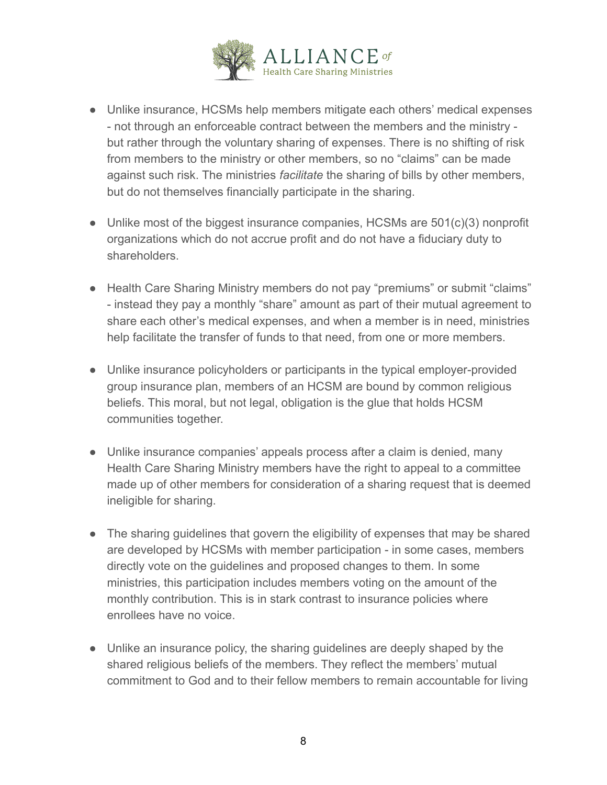

- Unlike insurance, HCSMs help members mitigate each others' medical expenses - not through an enforceable contract between the members and the ministry but rather through the voluntary sharing of expenses. There is no shifting of risk from members to the ministry or other members, so no "claims" can be made against such risk. The ministries *facilitate* the sharing of bills by other members, but do not themselves financially participate in the sharing.
- Unlike most of the biggest insurance companies, HCSMs are 501(c)(3) nonprofit organizations which do not accrue profit and do not have a fiduciary duty to shareholders.
- Health Care Sharing Ministry members do not pay "premiums" or submit "claims" - instead they pay a monthly "share" amount as part of their mutual agreement to share each other's medical expenses, and when a member is in need, ministries help facilitate the transfer of funds to that need, from one or more members.
- Unlike insurance policyholders or participants in the typical employer-provided group insurance plan, members of an HCSM are bound by common religious beliefs. This moral, but not legal, obligation is the glue that holds HCSM communities together.
- Unlike insurance companies' appeals process after a claim is denied, many Health Care Sharing Ministry members have the right to appeal to a committee made up of other members for consideration of a sharing request that is deemed ineligible for sharing.
- The sharing guidelines that govern the eligibility of expenses that may be shared are developed by HCSMs with member participation - in some cases, members directly vote on the guidelines and proposed changes to them. In some ministries, this participation includes members voting on the amount of the monthly contribution. This is in stark contrast to insurance policies where enrollees have no voice.
- Unlike an insurance policy, the sharing guidelines are deeply shaped by the shared religious beliefs of the members. They reflect the members' mutual commitment to God and to their fellow members to remain accountable for living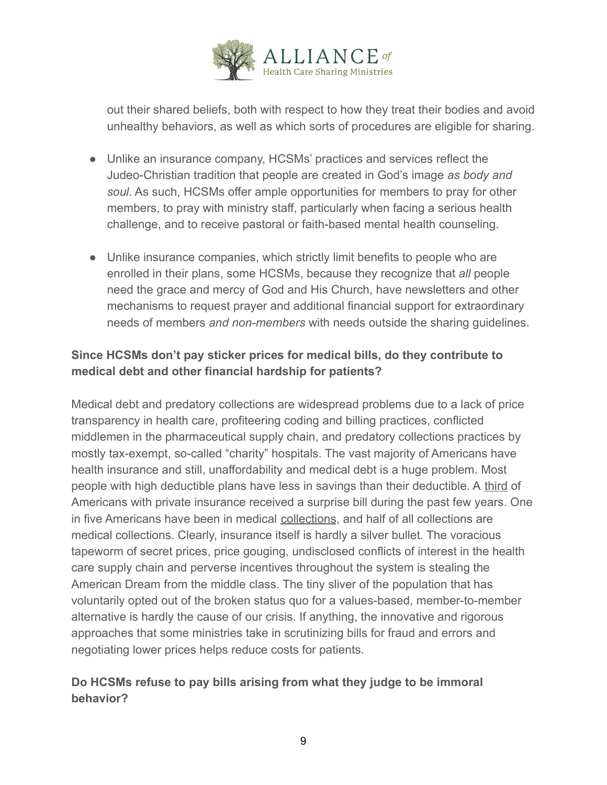

out their shared beliefs, both with respect to how they treat their bodies and avoid unhealthy behaviors, as well as which sorts of procedures are eligible for sharing.

- Unlike an insurance company, HCSMs' practices and services reflect the Judeo-Christian tradition that people are created in God's image *as body and soul*. As such, HCSMs offer ample opportunities for members to pray for other members, to pray with ministry staff, particularly when facing a serious health challenge, and to receive pastoral or faith-based mental health counseling.
- Unlike insurance companies, which strictly limit benefits to people who are enrolled in their plans, some HCSMs, because they recognize that *all* people need the grace and mercy of God and His Church, have newsletters and other mechanisms to request prayer and additional financial support for extraordinary needs of members *and non-members* with needs outside the sharing guidelines.

# **Since HCSMs don't pay sticker prices for medical bills, do they contribute to medical debt and other financial hardship for patients?**

Medical debt and predatory collections are widespread problems due to a lack of price transparency in health care, profiteering coding and billing practices, conflicted middlemen in the pharmaceutical supply chain, and predatory collections practices by mostly tax-exempt, so-called "charity" hospitals. The vast majority of Americans have health insurance and still, unaffordability and medical debt is a huge problem. Most people with high deductible plans have less in savings than their deductible. A third of Americans with private insurance received a surprise bill during the past few years. One in five Americans have been in medical collections, and half of all collections are medical collections. Clearly, insurance itself is hardly a silver bullet. The voracious tapeworm of secret prices, price gouging, undisclosed conflicts of interest in the health care supply chain and perverse incentives throughout the system is stealing the American Dream from the middle class. The tiny sliver of the population that has voluntarily opted out of the broken status quo for a values-based, member-to-member alternative is hardly the cause of our crisis. If anything, the innovative and rigorous approaches that some ministries take in scrutinizing bills for fraud and errors and negotiating lower prices helps reduce costs for patients.

# **Do HCSMs refuse to pay bills arising from what they judge to be immoral behavior?**